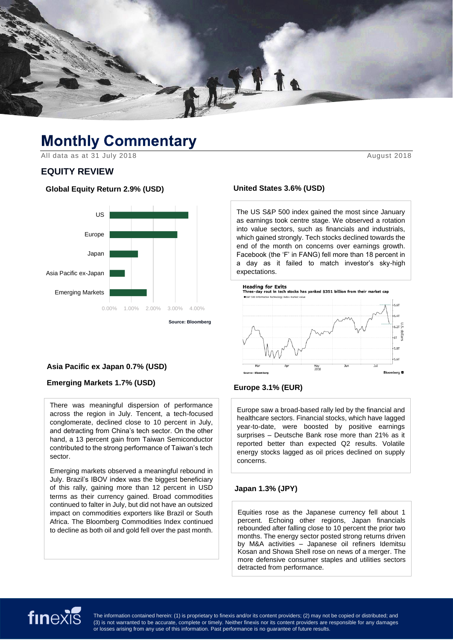

# **Monthly Commentary**

All data as at 31 July 2018

# **EQUITY REVIEW**

#### **Global Equity Return 2.9% (USD)**



### **Asia Pacific ex Japan 0.7% (USD)**

### **Emerging Markets 1.7% (USD)**

There was meaningful dispersion of performance across the region in July. Tencent, a tech-focused conglomerate, declined close to 10 percent in July, and detracting from China's tech sector. On the other hand, a 13 percent gain from Taiwan Semiconductor contributed to the strong performance of Taiwan's tech sector.

Emerging markets observed a meaningful rebound in July. Brazil's IBOV index was the biggest beneficiary of this rally, gaining more than 12 percent in USD terms as their currency gained. Broad commodities continued to falter in July, but did not have an outsized impact on commodities exporters like Brazil or South Africa. The Bloomberg Commodities Index continued to decline as both oil and gold fell over the past month.

#### **United States 3.6% (USD)**

The US S&P 500 index gained the most since January as earnings took centre stage. We observed a rotation into value sectors, such as financials and industrials, which gained strongly. Tech stocks declined towards the end of the month on concerns over earnings growth. Facebook (the 'F' in FANG) fell more than 18 percent in a day as it failed to match investor's sky-high expectations.



### **Europe 3.1% (EUR)**

Europe saw a broad-based rally led by the financial and healthcare sectors. Financial stocks, which have lagged year-to-date, were boosted by positive earnings surprises – Deutsche Bank rose more than 21% as it reported better than expected Q2 results. Volatile energy stocks lagged as oil prices declined on supply concerns.

#### **Japan 1.3% (JPY)**

Equities rose as the Japanese currency fell about 1 percent. Echoing other regions, Japan financials rebounded after falling close to 10 percent the prior two months. The energy sector posted strong returns driven by M&A activities – Japanese oil refiners Idemitsu Kosan and Showa Shell rose on news of a merger. The more defensive consumer staples and utilities sectors detracted from performance.

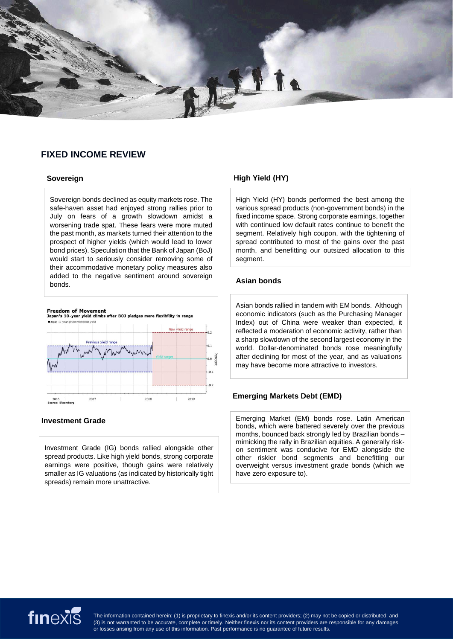# **FIXED INCOME REVIEW**

#### **Sovereign**

Sovereign bonds declined as equity markets rose. The safe-haven asset had enjoyed strong rallies prior to July on fears of a growth slowdown amidst a worsening trade spat. These fears were more muted the past month, as markets turned their attention to the prospect of higher yields (which would lead to lower bond prices). Speculation that the Bank of Japan (BoJ) would start to seriously consider removing some of their accommodative monetary policy measures also added to the negative sentiment around sovereign bonds.



Treedom of Frovenient<br>Japan's 10-year yield climbs after BOJ pledges more flexibility in range at hood viole



#### **Investment Grade**

Investment Grade (IG) bonds rallied alongside other spread products. Like high yield bonds, strong corporate earnings were positive, though gains were relatively smaller as IG valuations (as indicated by historically tight spreads) remain more unattractive.

## **High Yield (HY)**

High Yield (HY) bonds performed the best among the various spread products (non-government bonds) in the fixed income space. Strong corporate earnings, together with continued low default rates continue to benefit the segment. Relatively high coupon, with the tightening of spread contributed to most of the gains over the past month, and benefitting our outsized allocation to this segment.

#### **Asian bonds**

Asian bonds rallied in tandem with EM bonds. Although economic indicators (such as the Purchasing Manager Index) out of China were weaker than expected, it reflected a moderation of economic activity, rather than a sharp slowdown of the second largest economy in the world. Dollar-denominated bonds rose meaningfully after declining for most of the year, and as valuations may have become more attractive to investors.

### **Emerging Markets Debt (EMD)**

Emerging Market (EM) bonds rose. Latin American bonds, which were battered severely over the previous months, bounced back strongly led by Brazilian bonds – mimicking the rally in Brazilian equities. A generally riskon sentiment was conducive for EMD alongside the other riskier bond segments and benefitting our overweight versus investment grade bonds (which we have zero exposure to).

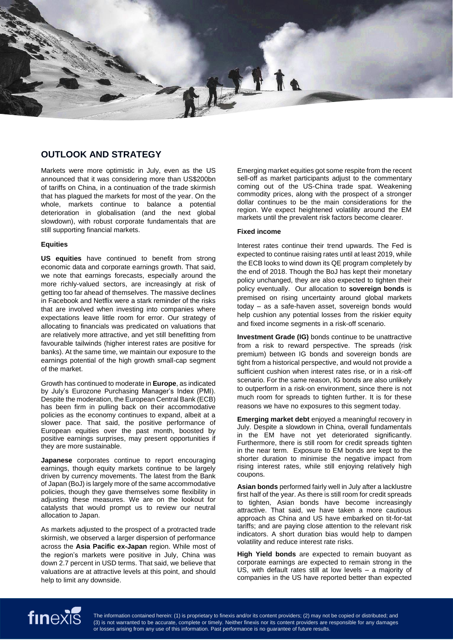

# **OUTLOOK AND STRATEGY**

Markets were more optimistic in July, even as the US announced that it was considering more than US\$200bn of tariffs on China, in a continuation of the trade skirmish that has plagued the markets for most of the year. On the whole, markets continue to balance a potential deterioration in globalisation (and the next global slowdown), with robust corporate fundamentals that are still supporting financial markets.

#### **Equities**

**US equities** have continued to benefit from strong economic data and corporate earnings growth. That said, we note that earnings forecasts, especially around the more richly-valued sectors, are increasingly at risk of getting too far ahead of themselves. The massive declines in Facebook and Netflix were a stark reminder of the risks that are involved when investing into companies where expectations leave little room for error. Our strategy of allocating to financials was predicated on valuations that are relatively more attractive, and yet still benefitting from favourable tailwinds (higher interest rates are positive for banks). At the same time, we maintain our exposure to the earnings potential of the high growth small-cap segment of the market.

Growth has continued to moderate in **Europe**, as indicated by July's Eurozone Purchasing Manager's Index (PMI). Despite the moderation, the European Central Bank (ECB) has been firm in pulling back on their accommodative policies as the economy continues to expand, albeit at a slower pace. That said, the positive performance of European equities over the past month, boosted by positive earnings surprises, may present opportunities if they are more sustainable.

**Japanese** corporates continue to report encouraging earnings, though equity markets continue to be largely driven by currency movements. The latest from the Bank of Japan (BoJ) is largely more of the same accommodative policies, though they gave themselves some flexibility in adjusting these measures. We are on the lookout for catalysts that would prompt us to review our neutral allocation to Japan.

As markets adjusted to the prospect of a protracted trade skirmish, we observed a larger dispersion of performance across the **Asia Pacific ex-Japan** region. While most of the region's markets were positive in July, China was down 2.7 percent in USD terms. That said, we believe that valuations are at attractive levels at this point, and should help to limit any downside.

Emerging market equities got some respite from the recent sell-off as market participants adjust to the commentary coming out of the US-China trade spat. Weakening commodity prices, along with the prospect of a stronger dollar continues to be the main considerations for the region. We expect heightened volatility around the EM markets until the prevalent risk factors become clearer.

#### **Fixed income**

Interest rates continue their trend upwards. The Fed is expected to continue raising rates until at least 2019, while the ECB looks to wind down its QE program completely by the end of 2018. Though the BoJ has kept their monetary policy unchanged, they are also expected to tighten their policy eventually. Our allocation to **sovereign bonds** is premised on rising uncertainty around global markets today – as a safe-haven asset, sovereign bonds would help cushion any potential losses from the riskier equity and fixed income segments in a risk-off scenario.

**Investment Grade (IG)** bonds continue to be unattractive from a risk to reward perspective. The spreads (risk premium) between IG bonds and sovereign bonds are tight from a historical perspective, and would not provide a sufficient cushion when interest rates rise, or in a risk-off scenario. For the same reason, IG bonds are also unlikely to outperform in a risk-on environment, since there is not much room for spreads to tighten further. It is for these reasons we have no exposures to this segment today.

**Emerging market debt** enjoyed a meaningful recovery in July. Despite a slowdown in China, overall fundamentals in the EM have not yet deteriorated significantly. Furthermore, there is still room for credit spreads tighten in the near term. Exposure to EM bonds are kept to the shorter duration to minimise the negative impact from rising interest rates, while still enjoying relatively high coupons.

**Asian bonds** performed fairly well in July after a lacklustre first half of the year. As there is still room for credit spreads to tighten, Asian bonds have become increasingly attractive. That said, we have taken a more cautious approach as China and US have embarked on tit-for-tat tariffs; and are paying close attention to the relevant risk indicators. A short duration bias would help to dampen volatility and reduce interest rate risks.

**High Yield bonds** are expected to remain buoyant as corporate earnings are expected to remain strong in the US, with default rates still at low levels – a majority of companies in the US have reported better than expected

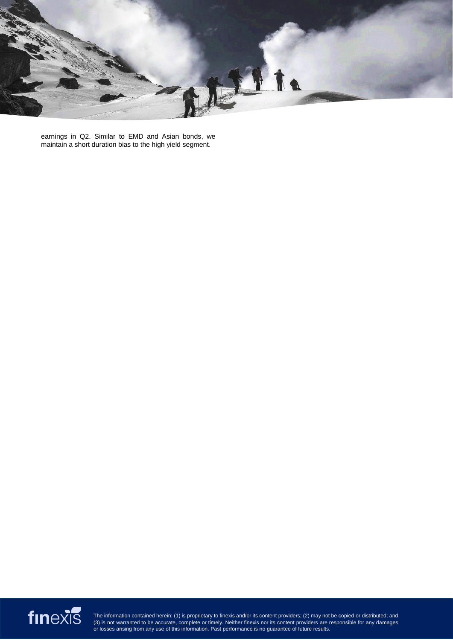

earnings in Q2. Similar to EMD and Asian bonds, we maintain a short duration bias to the high yield segment.

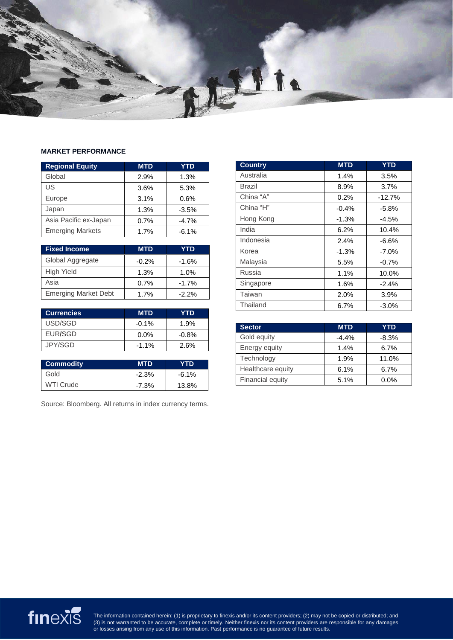

#### **MARKET PERFORMANCE**

| <b>Regional Equity</b>  | <b>MTD</b> | <b>YTD</b> |
|-------------------------|------------|------------|
| Global                  | 2.9%       | 1.3%       |
| US                      | 3.6%       | 5.3%       |
| Europe                  | 3.1%       | 0.6%       |
| Japan                   | 1.3%       | $-3.5%$    |
| Asia Pacific ex-Japan   | 0.7%       | $-4.7%$    |
| <b>Emerging Markets</b> | 1.7%       | $-6.1%$    |

| <b>Fixed Income</b>         | <b>MTD</b> | YTD     |
|-----------------------------|------------|---------|
| Global Aggregate            | $-0.2%$    | $-1.6%$ |
| High Yield                  | 1.3%       | 1.0%    |
| Asia                        | 0.7%       | $-1.7%$ |
| <b>Emerging Market Debt</b> | 1.7%       | $-2.2%$ |

| <b>Currencies</b> | <b>MTD</b> | YTD.    |
|-------------------|------------|---------|
| USD/SGD           | $-0.1\%$   | 1.9%    |
| <b>FUR/SGD</b>    | $0.0\%$    | $-0.8%$ |
| JPY/SGD           | $-1.1\%$   | 2.6%    |

| <b>Commodity</b> | <b>MTD</b> | YTD      |
|------------------|------------|----------|
| Gold             | $-2.3%$    | $-6.1\%$ |
| <b>WTI Crude</b> | -7.3%      | 13.8%    |

Source: Bloomberg. All returns in index currency terms.

| <b>Country</b> | <b>MTD</b> | <b>YTD</b> |
|----------------|------------|------------|
| Australia      | 1.4%       | 3.5%       |
| Brazil         | 8.9%       | 3.7%       |
| China "A"      | $0.2\%$    | $-12.7%$   |
| China "H"      | $-0.4%$    | $-5.8%$    |
| Hong Kong      | $-1.3%$    | $-4.5%$    |
| India          | 6.2%       | 10.4%      |
| Indonesia      | 2.4%       | $-6.6%$    |
| Korea          | $-1.3%$    | $-7.0%$    |
| Malaysia       | 5.5%       | $-0.7%$    |
| Russia         | 1.1%       | 10.0%      |
| Singapore      | 1.6%       | $-2.4%$    |
| Taiwan         | 2.0%       | 3.9%       |
| Thailand       | 6.7%       | $-3.0%$    |

| <b>Sector</b>     | <b>MTD</b> | <b>YTD</b> |
|-------------------|------------|------------|
| Gold equity       | $-4.4%$    | $-8.3%$    |
| Energy equity     | 1.4%       | 6.7%       |
| Technology        | 1.9%       | 11.0%      |
| Healthcare equity | 6.1%       | 6.7%       |
| Financial equity  | 5.1%       | $0.0\%$    |
|                   |            |            |